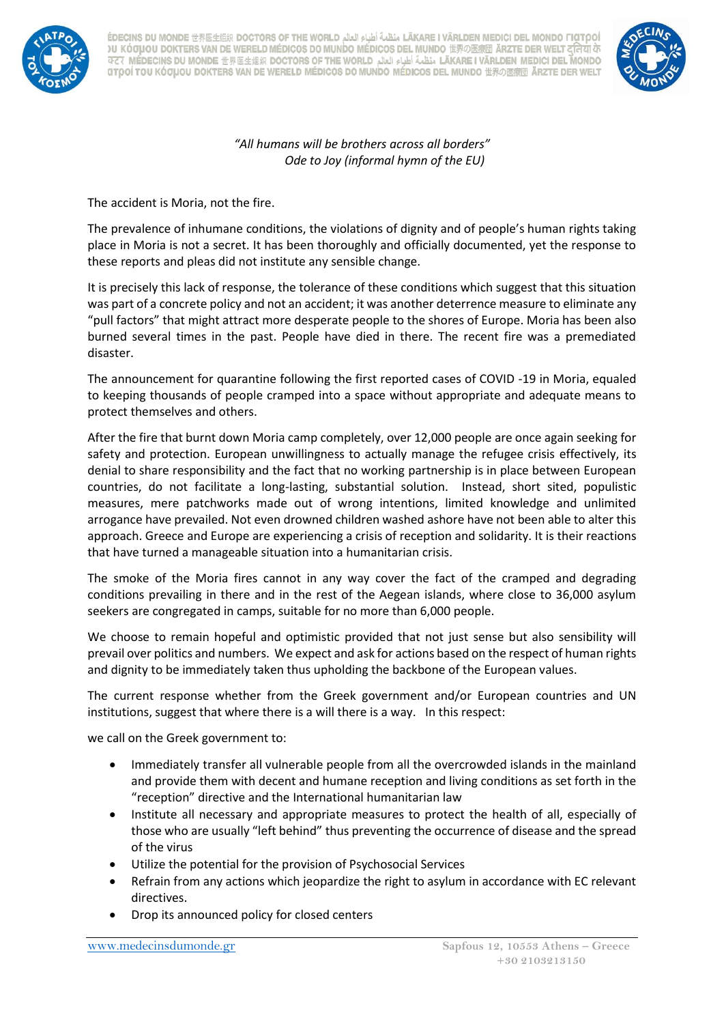

. LÄKARE I VÄRLDEN MEDICI DEL MONDO FIGTOOÍ منظمة أطباء العالم LÄKARE I VÄRLDEN MEDICI DEL MONDO FIGTOOÍ )U KÓƠ∐OU DOKTERS VAN DE WERELD MÉDICOS DO MUNDO MÉDICOS DEL MUNDO 世界の医療団 ÄRZTE DER WELT दनिया के LÄKARE I VÄRLDEN MEDICI DEL MONDO منظمة أطباء العالم DOCTORS OF THE WORLD منظمة أطباء العالم AFT ( MÉDECINS DU **CITOOÍ TOU KÓOµOU DOKTERS VAN DE WERELD MÉDICOS DO MUNDO MÉDICOS DEL MUNDO 世界の医療団 ÄRZTE DER WELT** 



*"All humans will be brothers across all borders" Ode to Joy (informal hymn of the EU)*

The accident is Moria, not the fire.

The prevalence of inhumane conditions, the violations of dignity and of people's human rights taking place in Moria is not a secret. It has been thoroughly and officially documented, yet the response to these reports and pleas did not institute any sensible change.

It is precisely this lack of response, the tolerance of these conditions which suggest that this situation was part of a concrete policy and not an accident; it was another deterrence measure to eliminate any "pull factors" that might attract more desperate people to the shores of Europe. Moria has been also burned several times in the past. People have died in there. The recent fire was a premediated disaster.

The announcement for quarantine following the first reported cases of COVID -19 in Moria, equaled to keeping thousands of people cramped into a space without appropriate and adequate means to protect themselves and others.

After the fire that burnt down Moria camp completely, over 12,000 people are once again seeking for safety and protection. European unwillingness to actually manage the refugee crisis effectively, its denial to share responsibility and the fact that no working partnership is in place between European countries, do not facilitate a long-lasting, substantial solution. Instead, short sited, populistic measures, mere patchworks made out of wrong intentions, limited knowledge and unlimited arrogance have prevailed. Not even drowned children washed ashore have not been able to alter this approach. Greece and Europe are experiencing a crisis of reception and solidarity. It is their reactions that have turned a manageable situation into a humanitarian crisis.

The smoke of the Moria fires cannot in any way cover the fact of the cramped and degrading conditions prevailing in there and in the rest of the Aegean islands, where close to 36,000 asylum seekers are congregated in camps, suitable for no more than 6,000 people.

We choose to remain hopeful and optimistic provided that not just sense but also sensibility will prevail over politics and numbers. We expect and ask for actions based on the respect of human rights and dignity to be immediately taken thus upholding the backbone of the European values.

The current response whether from the Greek government and/or European countries and UN institutions, suggest that where there is a will there is a way. In this respect:

we call on the Greek government to:

- Immediately transfer all vulnerable people from all the overcrowded islands in the mainland and provide them with decent and humane reception and living conditions as set forth in the "reception" directive and the International humanitarian law
- Institute all necessary and appropriate measures to protect the health of all, especially of those who are usually "left behind" thus preventing the occurrence of disease and the spread of the virus
- Utilize the potential for the provision of Psychosocial Services
- Refrain from any actions which jeopardize the right to asylum in accordance with EC relevant directives.
- Drop its announced policy for closed centers